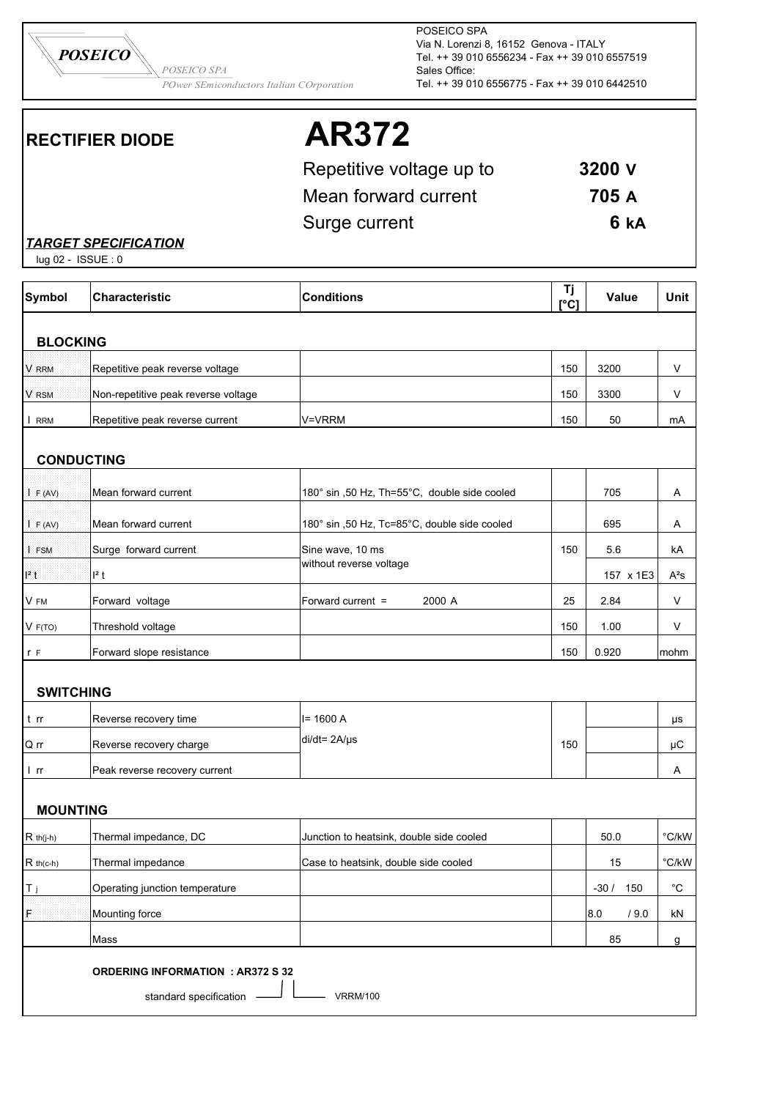*POwer SEmiconductors Italian COrporation*

*POSEICO SPA*

POSEICO SPA Via N. Lorenzi 8, 16152 Genova - ITALY Tel. ++ 39 010 6556234 - Fax ++ 39 010 6557519 Sales Office: Tel. ++ 39 010 6556775 - Fax ++ 39 010 6442510

*POSEICO*

# **RECTIFIER DIODE AR372**

| Repetitive voltage up to | 3200 V |
|--------------------------|--------|
| Mean forward current     | 705 A  |
| Surge current            | 6 kA   |

### *TARGET SPECIFICATION*

lug 02 - ISSUE : 0

| <b>Symbol</b>    | <b>Characteristic</b>                    | <b>Conditions</b>                            | Tj<br>[°C] | <b>Value</b>  | <b>Unit</b>       |
|------------------|------------------------------------------|----------------------------------------------|------------|---------------|-------------------|
| <b>BLOCKING</b>  |                                          |                                              |            |               |                   |
| V RRM            | Repetitive peak reverse voltage          |                                              | 150        | 3200          | V                 |
| V RSM            | Non-repetitive peak reverse voltage      |                                              | 150        | 3300          | V                 |
| I RRM            | Repetitive peak reverse current          | V=VRRM                                       | 150        | 50            | mA                |
|                  | <b>CONDUCTING</b>                        |                                              |            |               |                   |
|                  |                                          |                                              |            |               |                   |
| I F (AV)         | Mean forward current                     | 180° sin ,50 Hz, Th=55°C, double side cooled |            | 705           | A                 |
| I F (AV)         | Mean forward current                     | 180° sin ,50 Hz, Tc=85°C, double side cooled |            | 695           | A                 |
| I FSM            | Surge forward current                    | Sine wave, 10 ms                             | 150        | 5.6           | kA                |
| $12$ t           | $I2$ t                                   | without reverse voltage                      |            | 157 x 1E3     | $A^2S$            |
| V FM             | Forward voltage                          | 2000 A<br>Forward current =                  | 25         | 2.84          | V                 |
| V F(TO)          | Threshold voltage                        |                                              | 150        | 1.00          | V                 |
| r F              | Forward slope resistance                 |                                              | 150        | 0.920         | mohm              |
|                  |                                          |                                              |            |               |                   |
| <b>SWITCHING</b> |                                          |                                              |            |               |                   |
| t rr             | Reverse recovery time                    | $I = 1600 A$                                 |            |               | μs                |
| Q rr             | Reverse recovery charge                  | $di/dt = 2A/\mu s$                           | 150        |               | μC                |
| l rr             | Peak reverse recovery current            |                                              |            |               | A                 |
| <b>MOUNTING</b>  |                                          |                                              |            |               |                   |
| $R$ th(j-h)      | Thermal impedance, DC                    | Junction to heatsink, double side cooled     |            | 50.0          | °C/kW             |
| $R$ th(c-h)      | Thermal impedance                        | Case to heatsink, double side cooled         |            | 15            | 'C/kW             |
| T <sub>j</sub>   | Operating junction temperature           |                                              |            | $-30/$<br>150 | $^{\circ}{\rm C}$ |
| F                | Mounting force                           |                                              |            | 8.0<br>/9.0   | kN                |
|                  | Mass                                     |                                              |            | 85            | g                 |
|                  | <b>ORDERING INFORMATION : AR372 S 32</b> |                                              |            |               |                   |
|                  | standard specification                   | <b>VRRM/100</b>                              |            |               |                   |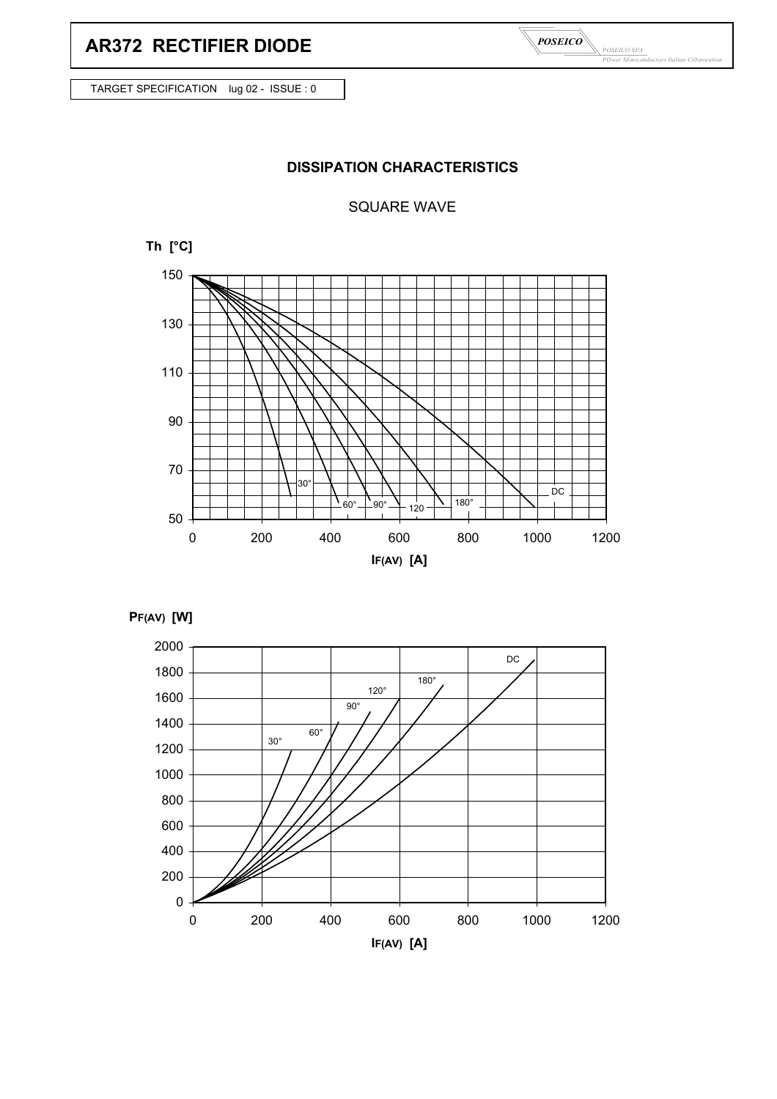# **AR372 RECTIFIER DIODE**

*POSEICO SPA POwer SEmiconductors Italian COrporation POSEICO*

TARGET SPECIFICATION lug 02 - ISSUE : 0

## **DISSIPATION CHARACTERISTICS**

#### SQUARE WAVE





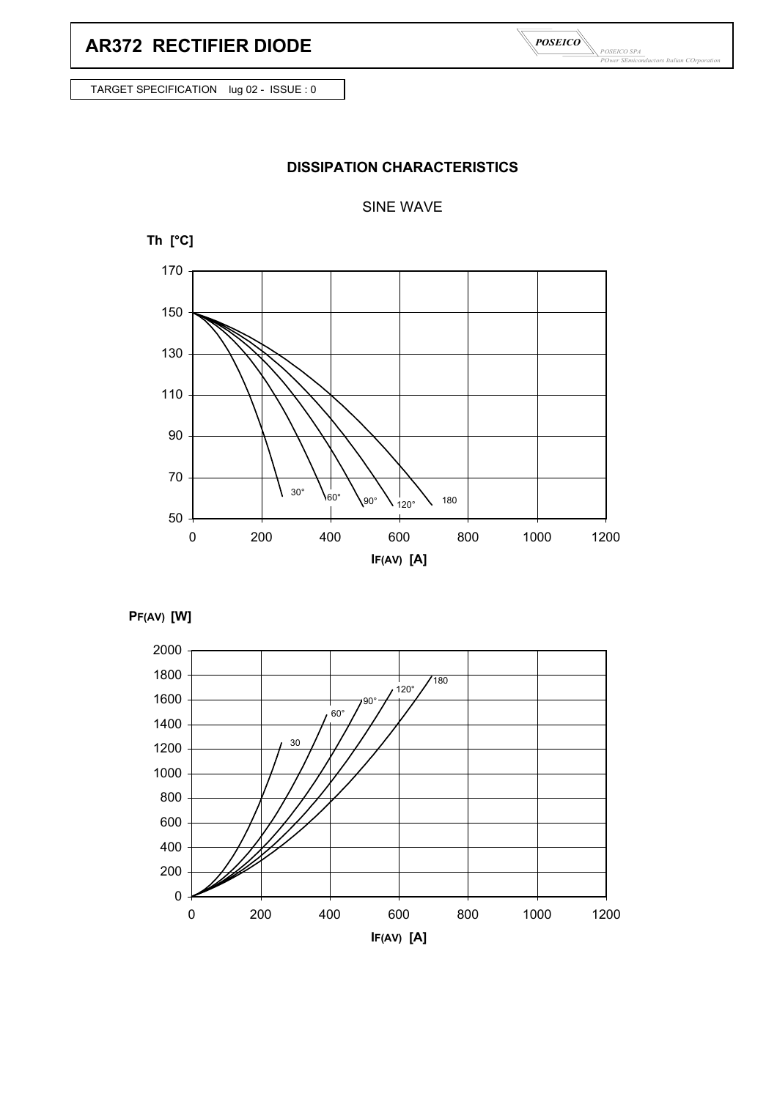*POSEICO SPA POwer SEmiconductors Italian COrporation POSEICO*

TARGET SPECIFICATION lug 02 - ISSUE : 0

## **DISSIPATION CHARACTERISTICS**

#### SINE WAVE